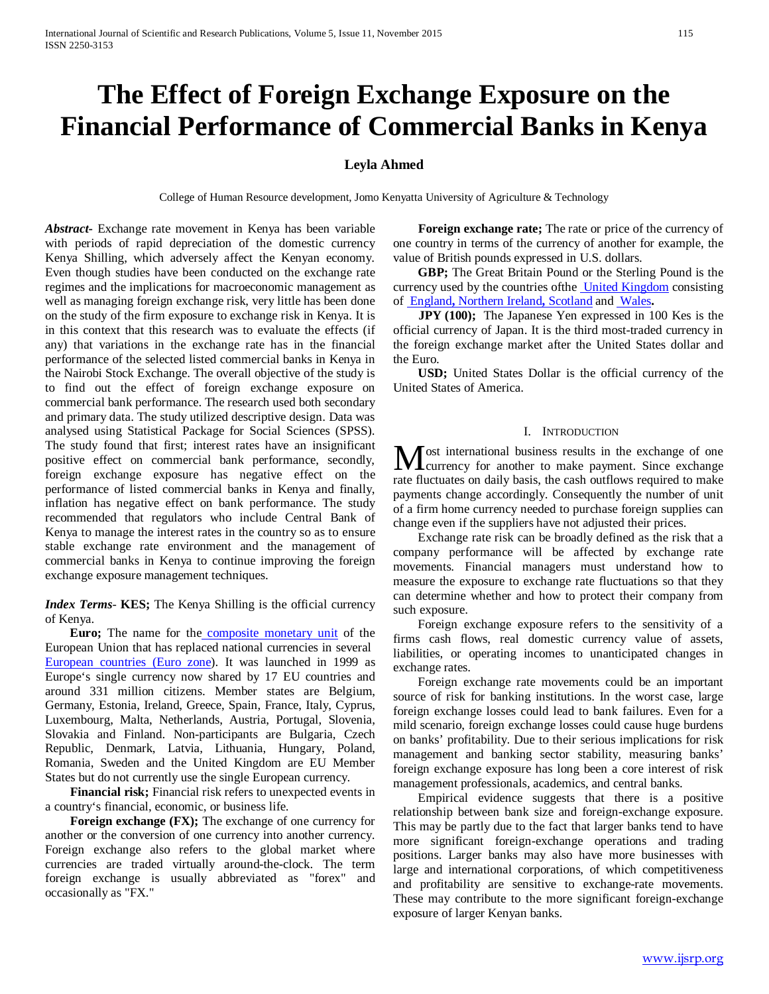# **The Effect of Foreign Exchange Exposure on the Financial Performance of Commercial Banks in Kenya**

# **Leyla Ahmed**

College of Human Resource development, Jomo Kenyatta University of Agriculture & Technology

*Abstract***-** Exchange rate movement in Kenya has been variable with periods of rapid depreciation of the domestic currency Kenya Shilling, which adversely affect the Kenyan economy. Even though studies have been conducted on the exchange rate regimes and the implications for macroeconomic management as well as managing foreign exchange risk, very little has been done on the study of the firm exposure to exchange risk in Kenya. It is in this context that this research was to evaluate the effects (if any) that variations in the exchange rate has in the financial performance of the selected listed commercial banks in Kenya in the Nairobi Stock Exchange. The overall objective of the study is to find out the effect of foreign exchange exposure on commercial bank performance. The research used both secondary and primary data. The study utilized descriptive design. Data was analysed using Statistical Package for Social Sciences (SPSS). The study found that first; interest rates have an insignificant positive effect on commercial bank performance, secondly, foreign exchange exposure has negative effect on the performance of listed commercial banks in Kenya and finally, inflation has negative effect on bank performance. The study recommended that regulators who include Central Bank of Kenya to manage the interest rates in the country so as to ensure stable exchange rate environment and the management of commercial banks in Kenya to continue improving the foreign exchange exposure management techniques.

*Index Terms*- **KES;** The Kenya Shilling is the official currency of Kenya.

 **Euro;** The name for the [composite](http://www.investorwords.com/1005/composite.html) [monetary unit](http://www.investorwords.com/1005/composite.html) of the European Union that has replaced national currencies in several [European](http://www.investorwords.com/9600/European.html) [countries](http://www.businessdictionary.com/definition/country.html) [\(Euro zone\)](http://www.businessdictionary.com/definition/country.html). It was launched in 1999 as Europe's single currency now shared by 17 EU countries and around 331 million citizens. Member states are Belgium, Germany, Estonia, Ireland, Greece, Spain, France, Italy, Cyprus, Luxembourg, Malta, Netherlands, Austria, Portugal, Slovenia, Slovakia and Finland. Non-participants are Bulgaria, Czech Republic, Denmark, Latvia, Lithuania, Hungary, Poland, Romania, Sweden and the United Kingdom are EU Member States but do not currently use the single European currency.

 **Financial risk;** Financial risk refers to unexpected events in a country's financial, economic, or business life.

**Foreign exchange (FX);** The exchange of one currency for another or the conversion of one currency into another currency. Foreign exchange also refers to the global market where currencies are traded virtually around-the-clock. The term foreign exchange is usually abbreviated as "forex" and occasionally as "FX."

 **Foreign exchange rate;** The rate or price of the currency of one country in terms of the currency of another for example, the value of British pounds expressed in U.S. dollars.

 **GBP;** The Great Britain Pound or the Sterling Pound is the currency used by the countries of the *United Kingdom* consisting of [England](http://en.wikipedia.org/wiki/England)**,** [Northern Ireland](http://en.wikipedia.org/wiki/England)**,** [Scotland](http://en.wikipedia.org/wiki/Scotland) and [Wales](http://en.wikipedia.org/wiki/Wales)**.**

**JPY** (100); The Japanese Yen expressed in 100 Kes is the official currency of Japan. It is the third most-traded currency in the foreign exchange market after the United States dollar and the Euro.

 **USD;** United States Dollar is the official currency of the United States of America.

## I. INTRODUCTION

**T** ost international business results in the exchange of one Most international business results in the exchange of one<br>currency for another to make payment. Since exchange rate fluctuates on daily basis, the cash outflows required to make payments change accordingly. Consequently the number of unit of a firm home currency needed to purchase foreign supplies can change even if the suppliers have not adjusted their prices.

 Exchange rate risk can be broadly defined as the risk that a company performance will be affected by exchange rate movements. Financial managers must understand how to measure the exposure to exchange rate fluctuations so that they can determine whether and how to protect their company from such exposure.

 Foreign exchange exposure refers to the sensitivity of a firms cash flows, real domestic currency value of assets, liabilities, or operating incomes to unanticipated changes in exchange rates.

 Foreign exchange rate movements could be an important source of risk for banking institutions. In the worst case, large foreign exchange losses could lead to bank failures. Even for a mild scenario, foreign exchange losses could cause huge burdens on banks' profitability. Due to their serious implications for risk management and banking sector stability, measuring banks' foreign exchange exposure has long been a core interest of risk management professionals, academics, and central banks.

 Empirical evidence suggests that there is a positive relationship between bank size and foreign-exchange exposure. This may be partly due to the fact that larger banks tend to have more significant foreign-exchange operations and trading positions. Larger banks may also have more businesses with large and international corporations, of which competitiveness and profitability are sensitive to exchange-rate movements. These may contribute to the more significant foreign-exchange exposure of larger Kenyan banks.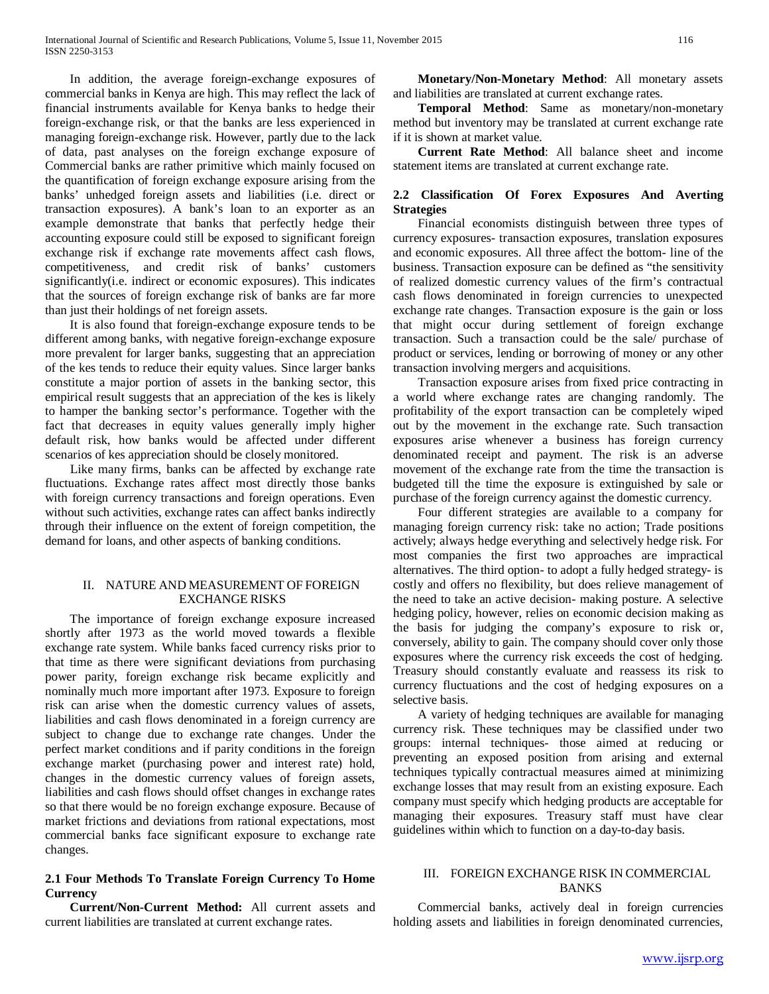In addition, the average foreign-exchange exposures of commercial banks in Kenya are high. This may reflect the lack of financial instruments available for Kenya banks to hedge their foreign-exchange risk, or that the banks are less experienced in managing foreign-exchange risk. However, partly due to the lack of data, past analyses on the foreign exchange exposure of Commercial banks are rather primitive which mainly focused on the quantification of foreign exchange exposure arising from the banks' unhedged foreign assets and liabilities (i.e. direct or transaction exposures). A bank's loan to an exporter as an example demonstrate that banks that perfectly hedge their accounting exposure could still be exposed to significant foreign exchange risk if exchange rate movements affect cash flows, competitiveness, and credit risk of banks' customers significantly(i.e. indirect or economic exposures). This indicates that the sources of foreign exchange risk of banks are far more than just their holdings of net foreign assets.

 It is also found that foreign-exchange exposure tends to be different among banks, with negative foreign-exchange exposure more prevalent for larger banks, suggesting that an appreciation of the kes tends to reduce their equity values. Since larger banks constitute a major portion of assets in the banking sector, this empirical result suggests that an appreciation of the kes is likely to hamper the banking sector's performance. Together with the fact that decreases in equity values generally imply higher default risk, how banks would be affected under different scenarios of kes appreciation should be closely monitored.

 Like many firms, banks can be affected by exchange rate fluctuations. Exchange rates affect most directly those banks with foreign currency transactions and foreign operations. Even without such activities, exchange rates can affect banks indirectly through their influence on the extent of foreign competition, the demand for loans, and other aspects of banking conditions.

## II. NATURE AND MEASUREMENT OF FOREIGN EXCHANGE RISKS

 The importance of foreign exchange exposure increased shortly after 1973 as the world moved towards a flexible exchange rate system. While banks faced currency risks prior to that time as there were significant deviations from purchasing power parity, foreign exchange risk became explicitly and nominally much more important after 1973. Exposure to foreign risk can arise when the domestic currency values of assets, liabilities and cash flows denominated in a foreign currency are subject to change due to exchange rate changes. Under the perfect market conditions and if parity conditions in the foreign exchange market (purchasing power and interest rate) hold, changes in the domestic currency values of foreign assets, liabilities and cash flows should offset changes in exchange rates so that there would be no foreign exchange exposure. Because of market frictions and deviations from rational expectations, most commercial banks face significant exposure to exchange rate changes.

# **2.1 Four Methods To Translate Foreign Currency To Home Currency**

 **Current/Non-Current Method:** All current assets and current liabilities are translated at current exchange rates.

 **Monetary/Non-Monetary Method**: All monetary assets and liabilities are translated at current exchange rates.

 **Temporal Method**: Same as monetary/non-monetary method but inventory may be translated at current exchange rate if it is shown at market value.

 **Current Rate Method**: All balance sheet and income statement items are translated at current exchange rate.

# **2.2 Classification Of Forex Exposures And Averting Strategies**

 Financial economists distinguish between three types of currency exposures- transaction exposures, translation exposures and economic exposures. All three affect the bottom- line of the business. Transaction exposure can be defined as "the sensitivity of realized domestic currency values of the firm's contractual cash flows denominated in foreign currencies to unexpected exchange rate changes. Transaction exposure is the gain or loss that might occur during settlement of foreign exchange transaction. Such a transaction could be the sale/ purchase of product or services, lending or borrowing of money or any other transaction involving mergers and acquisitions.

 Transaction exposure arises from fixed price contracting in a world where exchange rates are changing randomly. The profitability of the export transaction can be completely wiped out by the movement in the exchange rate. Such transaction exposures arise whenever a business has foreign currency denominated receipt and payment. The risk is an adverse movement of the exchange rate from the time the transaction is budgeted till the time the exposure is extinguished by sale or purchase of the foreign currency against the domestic currency.

 Four different strategies are available to a company for managing foreign currency risk: take no action; Trade positions actively; always hedge everything and selectively hedge risk. For most companies the first two approaches are impractical alternatives. The third option- to adopt a fully hedged strategy- is costly and offers no flexibility, but does relieve management of the need to take an active decision- making posture. A selective hedging policy, however, relies on economic decision making as the basis for judging the company's exposure to risk or, conversely, ability to gain. The company should cover only those exposures where the currency risk exceeds the cost of hedging. Treasury should constantly evaluate and reassess its risk to currency fluctuations and the cost of hedging exposures on a selective basis.

 A variety of hedging techniques are available for managing currency risk. These techniques may be classified under two groups: internal techniques- those aimed at reducing or preventing an exposed position from arising and external techniques typically contractual measures aimed at minimizing exchange losses that may result from an existing exposure. Each company must specify which hedging products are acceptable for managing their exposures. Treasury staff must have clear guidelines within which to function on a day-to-day basis.

## III. FOREIGN EXCHANGE RISK IN COMMERCIAL BANKS

 Commercial banks, actively deal in foreign currencies holding assets and liabilities in foreign denominated currencies,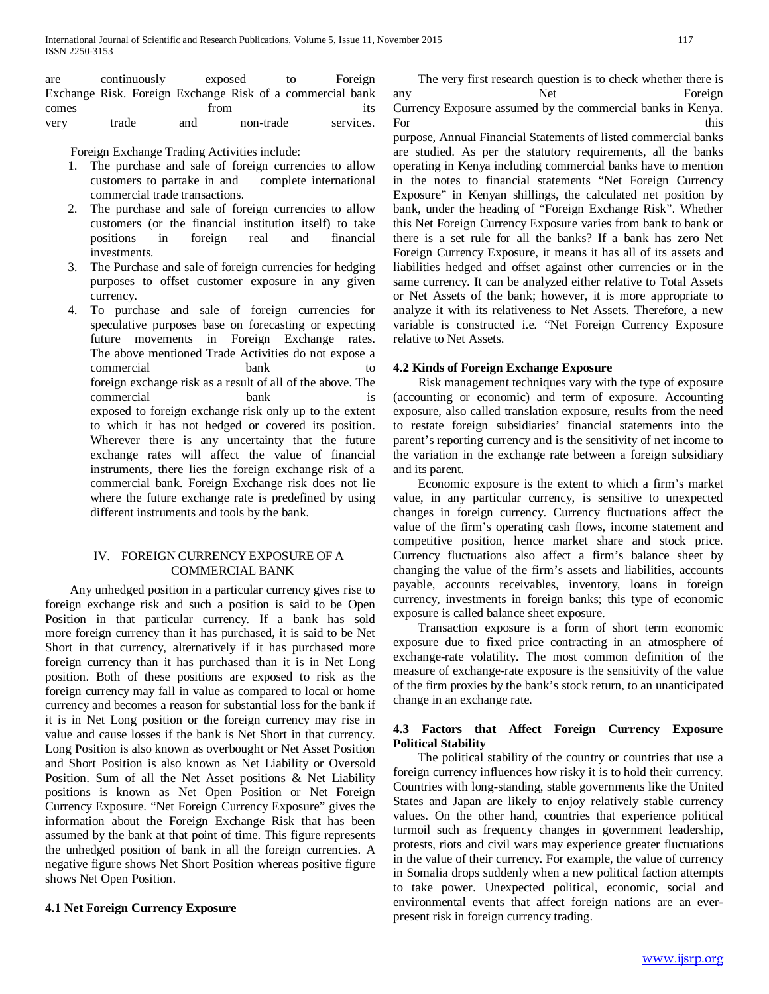are continuously exposed to Foreign Exchange Risk. Foreign Exchange Risk of a commercial bank comes from the state of the state of the state  $\sim$ very trade and non-trade services.

Foreign Exchange Trading Activities include:

- 1. The purchase and sale of foreign currencies to allow customers to partake in and complete international commercial trade transactions.
- 2. The purchase and sale of foreign currencies to allow customers (or the financial institution itself) to take positions in foreign real and financial investments.
- 3. The Purchase and sale of foreign currencies for hedging purposes to offset customer exposure in any given currency.
- 4. To purchase and sale of foreign currencies for speculative purposes base on forecasting or expecting future movements in Foreign Exchange rates. The above mentioned Trade Activities do not expose a commercial bank to foreign exchange risk as a result of all of the above. The commercial bank is exposed to foreign exchange risk only up to the extent to which it has not hedged or covered its position. Wherever there is any uncertainty that the future exchange rates will affect the value of financial instruments, there lies the foreign exchange risk of a commercial bank. Foreign Exchange risk does not lie where the future exchange rate is predefined by using different instruments and tools by the bank.

# IV. FOREIGN CURRENCY EXPOSURE OF A COMMERCIAL BANK

 Any unhedged position in a particular currency gives rise to foreign exchange risk and such a position is said to be Open Position in that particular currency. If a bank has sold more foreign currency than it has purchased, it is said to be Net Short in that currency, alternatively if it has purchased more foreign currency than it has purchased than it is in Net Long position. Both of these positions are exposed to risk as the foreign currency may fall in value as compared to local or home currency and becomes a reason for substantial loss for the bank if it is in Net Long position or the foreign currency may rise in value and cause losses if the bank is Net Short in that currency. Long Position is also known as overbought or Net Asset Position and Short Position is also known as Net Liability or Oversold Position. Sum of all the Net Asset positions & Net Liability positions is known as Net Open Position or Net Foreign Currency Exposure. "Net Foreign Currency Exposure" gives the information about the Foreign Exchange Risk that has been assumed by the bank at that point of time. This figure represents the unhedged position of bank in all the foreign currencies. A negative figure shows Net Short Position whereas positive figure shows Net Open Position.

## **4.1 Net Foreign Currency Exposure**

 The very first research question is to check whether there is any Net Foreign Currency Exposure assumed by the commercial banks in Kenya. For this

purpose, Annual Financial Statements of listed commercial banks are studied. As per the statutory requirements, all the banks operating in Kenya including commercial banks have to mention in the notes to financial statements "Net Foreign Currency Exposure" in Kenyan shillings, the calculated net position by bank, under the heading of "Foreign Exchange Risk". Whether this Net Foreign Currency Exposure varies from bank to bank or there is a set rule for all the banks? If a bank has zero Net Foreign Currency Exposure, it means it has all of its assets and liabilities hedged and offset against other currencies or in the same currency. It can be analyzed either relative to Total Assets or Net Assets of the bank; however, it is more appropriate to analyze it with its relativeness to Net Assets. Therefore, a new variable is constructed i.e. "Net Foreign Currency Exposure relative to Net Assets.

## **4.2 Kinds of Foreign Exchange Exposure**

 Risk management techniques vary with the type of exposure (accounting or economic) and term of exposure. Accounting exposure, also called translation exposure, results from the need to restate foreign subsidiaries' financial statements into the parent's reporting currency and is the sensitivity of net income to the variation in the exchange rate between a foreign subsidiary and its parent.

 Economic exposure is the extent to which a firm's market value, in any particular currency, is sensitive to unexpected changes in foreign currency. Currency fluctuations affect the value of the firm's operating cash flows, income statement and competitive position, hence market share and stock price. Currency fluctuations also affect a firm's balance sheet by changing the value of the firm's assets and liabilities, accounts payable, accounts receivables, inventory, loans in foreign currency, investments in foreign banks; this type of economic exposure is called balance sheet exposure.

 Transaction exposure is a form of short term economic exposure due to fixed price contracting in an atmosphere of exchange-rate volatility. The most common definition of the measure of exchange-rate exposure is the sensitivity of the value of the firm proxies by the bank's stock return, to an unanticipated change in an exchange rate.

# **4.3 Factors that Affect Foreign Currency Exposure Political Stability**

 The political stability of the country or countries that use a foreign currency influences how risky it is to hold their currency. Countries with long-standing, stable governments like the United States and Japan are likely to enjoy relatively stable currency values. On the other hand, countries that experience political turmoil such as frequency changes in government leadership, protests, riots and civil wars may experience greater fluctuations in the value of their currency. For example, the value of currency in Somalia drops suddenly when a new political faction attempts to take power. Unexpected political, economic, social and environmental events that affect foreign nations are an everpresent risk in foreign currency trading.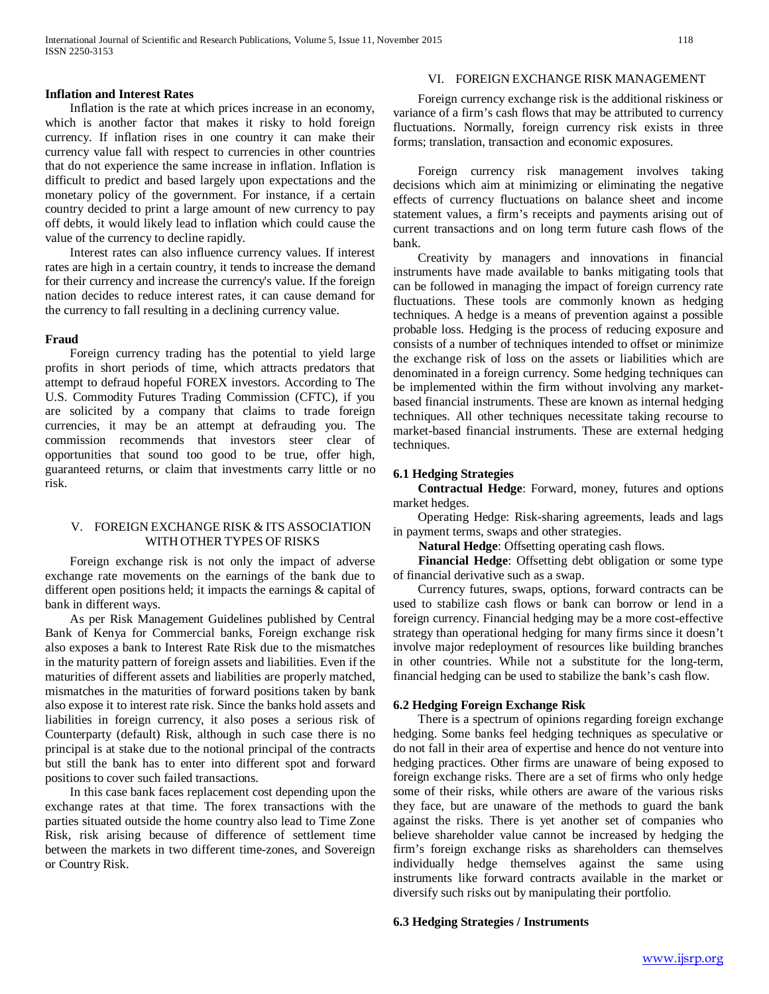Inflation is the rate at which prices increase in an economy, which is another factor that makes it risky to hold foreign currency. If inflation rises in one country it can make their currency value fall with respect to currencies in other countries that do not experience the same increase in inflation. Inflation is difficult to predict and based largely upon expectations and the monetary policy of the government. For instance, if a certain country decided to print a large amount of new currency to pay off debts, it would likely lead to inflation which could cause the value of the currency to decline rapidly.

 Interest rates can also influence currency values. If interest rates are high in a certain country, it tends to increase the demand for their currency and increase the currency's value. If the foreign nation decides to reduce interest rates, it can cause demand for the currency to fall resulting in a declining currency value.

#### **Fraud**

 Foreign currency trading has the potential to yield large profits in short periods of time, which attracts predators that attempt to defraud hopeful FOREX investors. According to The U.S. Commodity Futures Trading Commission (CFTC), if you are solicited by a company that claims to trade foreign currencies, it may be an attempt at defrauding you. The commission recommends that investors steer clear of opportunities that sound too good to be true, offer high, guaranteed returns, or claim that investments carry little or no risk.

## V. FOREIGN EXCHANGE RISK & ITS ASSOCIATION WITH OTHER TYPES OF RISKS

 Foreign exchange risk is not only the impact of adverse exchange rate movements on the earnings of the bank due to different open positions held; it impacts the earnings & capital of bank in different ways.

 As per Risk Management Guidelines published by Central Bank of Kenya for Commercial banks, Foreign exchange risk also exposes a bank to Interest Rate Risk due to the mismatches in the maturity pattern of foreign assets and liabilities. Even if the maturities of different assets and liabilities are properly matched, mismatches in the maturities of forward positions taken by bank also expose it to interest rate risk. Since the banks hold assets and liabilities in foreign currency, it also poses a serious risk of Counterparty (default) Risk, although in such case there is no principal is at stake due to the notional principal of the contracts but still the bank has to enter into different spot and forward positions to cover such failed transactions.

 In this case bank faces replacement cost depending upon the exchange rates at that time. The forex transactions with the parties situated outside the home country also lead to Time Zone Risk, risk arising because of difference of settlement time between the markets in two different time-zones, and Sovereign or Country Risk.

# VI. FOREIGN EXCHANGE RISK MANAGEMENT

 Foreign currency exchange risk is the additional riskiness or variance of a firm's cash flows that may be attributed to currency fluctuations. Normally, foreign currency risk exists in three forms; translation, transaction and economic exposures.

 Foreign currency risk management involves taking decisions which aim at minimizing or eliminating the negative effects of currency fluctuations on balance sheet and income statement values, a firm's receipts and payments arising out of current transactions and on long term future cash flows of the bank.

 Creativity by managers and innovations in financial instruments have made available to banks mitigating tools that can be followed in managing the impact of foreign currency rate fluctuations. These tools are commonly known as hedging techniques. A hedge is a means of prevention against a possible probable loss. Hedging is the process of reducing exposure and consists of a number of techniques intended to offset or minimize the exchange risk of loss on the assets or liabilities which are denominated in a foreign currency. Some hedging techniques can be implemented within the firm without involving any marketbased financial instruments. These are known as internal hedging techniques. All other techniques necessitate taking recourse to market-based financial instruments. These are external hedging techniques.

#### **6.1 Hedging Strategies**

 **Contractual Hedge**: Forward, money, futures and options market hedges.

 Operating Hedge: Risk-sharing agreements, leads and lags in payment terms, swaps and other strategies.

**Natural Hedge**: Offsetting operating cash flows.

 **Financial Hedge**: Offsetting debt obligation or some type of financial derivative such as a swap.

 Currency futures, swaps, options, forward contracts can be used to stabilize cash flows or bank can borrow or lend in a foreign currency. Financial hedging may be a more cost-effective strategy than operational hedging for many firms since it doesn't involve major redeployment of resources like building branches in other countries. While not a substitute for the long-term, financial hedging can be used to stabilize the bank's cash flow.

## **6.2 Hedging Foreign Exchange Risk**

 There is a spectrum of opinions regarding foreign exchange hedging. Some banks feel hedging techniques as speculative or do not fall in their area of expertise and hence do not venture into hedging practices. Other firms are unaware of being exposed to foreign exchange risks. There are a set of firms who only hedge some of their risks, while others are aware of the various risks they face, but are unaware of the methods to guard the bank against the risks. There is yet another set of companies who believe shareholder value cannot be increased by hedging the firm's foreign exchange risks as shareholders can themselves individually hedge themselves against the same using instruments like forward contracts available in the market or diversify such risks out by manipulating their portfolio.

## **6.3 Hedging Strategies / Instruments**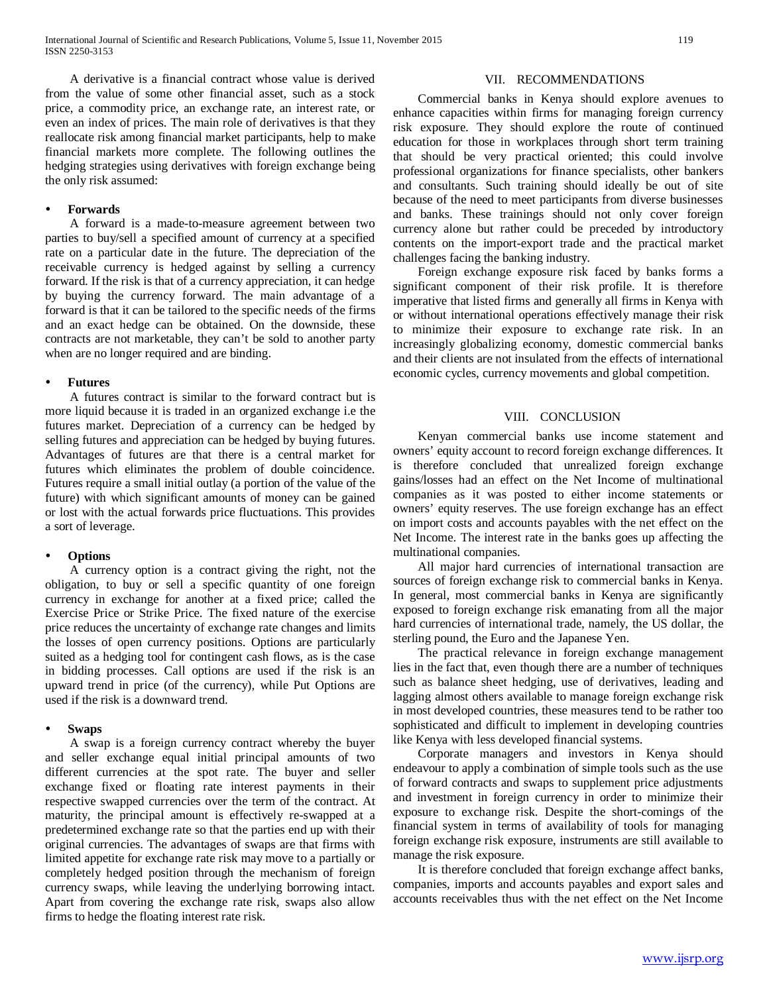A derivative is a financial contract whose value is derived from the value of some other financial asset, such as a stock price, a commodity price, an exchange rate, an interest rate, or even an index of prices. The main role of derivatives is that they reallocate risk among financial market participants, help to make financial markets more complete. The following outlines the hedging strategies using derivatives with foreign exchange being the only risk assumed:

## **Forwards**

 A forward is a made-to-measure agreement between two parties to buy/sell a specified amount of currency at a specified rate on a particular date in the future. The depreciation of the receivable currency is hedged against by selling a currency forward. If the risk is that of a currency appreciation, it can hedge by buying the currency forward. The main advantage of a forward is that it can be tailored to the specific needs of the firms and an exact hedge can be obtained. On the downside, these contracts are not marketable, they can't be sold to another party when are no longer required and are binding.

## **Futures**

 A futures contract is similar to the forward contract but is more liquid because it is traded in an organized exchange i.e the futures market. Depreciation of a currency can be hedged by selling futures and appreciation can be hedged by buying futures. Advantages of futures are that there is a central market for futures which eliminates the problem of double coincidence. Futures require a small initial outlay (a portion of the value of the future) with which significant amounts of money can be gained or lost with the actual forwards price fluctuations. This provides a sort of leverage.

#### **Options**

 A currency option is a contract giving the right, not the obligation, to buy or sell a specific quantity of one foreign currency in exchange for another at a fixed price; called the Exercise Price or Strike Price. The fixed nature of the exercise price reduces the uncertainty of exchange rate changes and limits the losses of open currency positions. Options are particularly suited as a hedging tool for contingent cash flows, as is the case in bidding processes. Call options are used if the risk is an upward trend in price (of the currency), while Put Options are used if the risk is a downward trend.

#### **Swaps**

 A swap is a foreign currency contract whereby the buyer and seller exchange equal initial principal amounts of two different currencies at the spot rate. The buyer and seller exchange fixed or floating rate interest payments in their respective swapped currencies over the term of the contract. At maturity, the principal amount is effectively re-swapped at a predetermined exchange rate so that the parties end up with their original currencies. The advantages of swaps are that firms with limited appetite for exchange rate risk may move to a partially or completely hedged position through the mechanism of foreign currency swaps, while leaving the underlying borrowing intact. Apart from covering the exchange rate risk, swaps also allow firms to hedge the floating interest rate risk.

#### VII. RECOMMENDATIONS

 Commercial banks in Kenya should explore avenues to enhance capacities within firms for managing foreign currency risk exposure. They should explore the route of continued education for those in workplaces through short term training that should be very practical oriented; this could involve professional organizations for finance specialists, other bankers and consultants. Such training should ideally be out of site because of the need to meet participants from diverse businesses and banks. These trainings should not only cover foreign currency alone but rather could be preceded by introductory contents on the import-export trade and the practical market challenges facing the banking industry.

 Foreign exchange exposure risk faced by banks forms a significant component of their risk profile. It is therefore imperative that listed firms and generally all firms in Kenya with or without international operations effectively manage their risk to minimize their exposure to exchange rate risk. In an increasingly globalizing economy, domestic commercial banks and their clients are not insulated from the effects of international economic cycles, currency movements and global competition.

#### VIII. CONCLUSION

 Kenyan commercial banks use income statement and owners' equity account to record foreign exchange differences. It is therefore concluded that unrealized foreign exchange gains/losses had an effect on the Net Income of multinational companies as it was posted to either income statements or owners' equity reserves. The use foreign exchange has an effect on import costs and accounts payables with the net effect on the Net Income. The interest rate in the banks goes up affecting the multinational companies.

 All major hard currencies of international transaction are sources of foreign exchange risk to commercial banks in Kenya. In general, most commercial banks in Kenya are significantly exposed to foreign exchange risk emanating from all the major hard currencies of international trade, namely, the US dollar, the sterling pound, the Euro and the Japanese Yen.

 The practical relevance in foreign exchange management lies in the fact that, even though there are a number of techniques such as balance sheet hedging, use of derivatives, leading and lagging almost others available to manage foreign exchange risk in most developed countries, these measures tend to be rather too sophisticated and difficult to implement in developing countries like Kenya with less developed financial systems.

 Corporate managers and investors in Kenya should endeavour to apply a combination of simple tools such as the use of forward contracts and swaps to supplement price adjustments and investment in foreign currency in order to minimize their exposure to exchange risk. Despite the short-comings of the financial system in terms of availability of tools for managing foreign exchange risk exposure, instruments are still available to manage the risk exposure.

 It is therefore concluded that foreign exchange affect banks, companies, imports and accounts payables and export sales and accounts receivables thus with the net effect on the Net Income